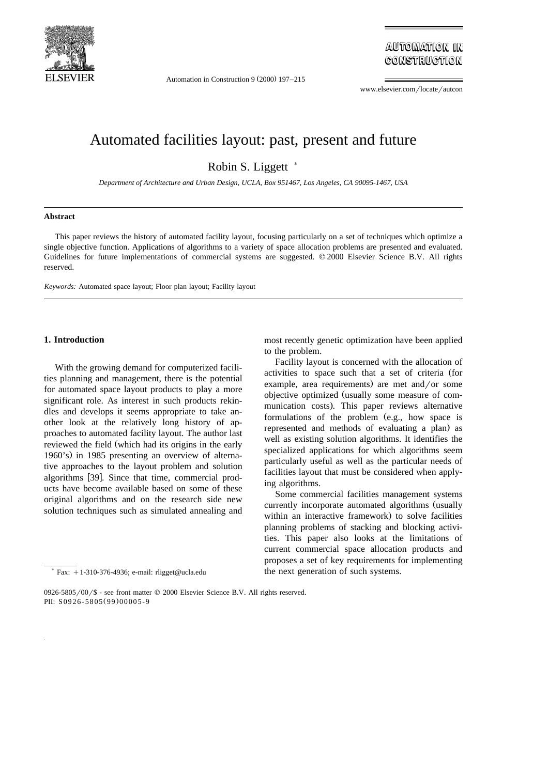

Automation in Construction 9 (2000) 197–215

**AUTOMATION IN** CONSTRUCTION

www.elsevier.com/locate/autcon

# Automated facilities layout: past, present and future

Robin S. Liggett \*

*Department of Architecture and Urban Design, UCLA, Box 951467, Los Angeles, CA 90095-1467, USA*

## **Abstract**

This paper reviews the history of automated facility layout, focusing particularly on a set of techniques which optimize a single objective function. Applications of algorithms to a variety of space allocation problems are presented and evaluated. Guidelines for future implementations of commercial systems are suggested. © 2000 Elsevier Science B.V. All rights reserved.

*Keywords:* Automated space layout; Floor plan layout; Facility layout

# **1. Introduction**

With the growing demand for computerized facilities planning and management, there is the potential for automated space layout products to play a more significant role. As interest in such products rekindles and develops it seems appropriate to take another look at the relatively long history of approaches to automated facility layout. The author last reviewed the field (which had its origins in the early 1960's) in 1985 presenting an overview of alternative approaches to the layout problem and solution algorithms [39]. Since that time, commercial products have become available based on some of these original algorithms and on the research side new solution techniques such as simulated annealing and most recently genetic optimization have been applied to the problem.

Facility layout is concerned with the allocation of activities to space such that a set of criteria (for example, area requirements) are met and/or some objective optimized (usually some measure of communication costs). This paper reviews alternative formulations of the problem (e.g., how space is represented and methods of evaluating a plan) as well as existing solution algorithms. It identifies the specialized applications for which algorithms seem particularly useful as well as the particular needs of facilities layout that must be considered when applying algorithms.

Some commercial facilities management systems currently incorporate automated algorithms (usually within an interactive framework) to solve facilities planning problems of stacking and blocking activities. This paper also looks at the limitations of current commercial space allocation products and proposes a set of key requirements for implementing the next generation of such systems.

0926-5805/00/\$ - see front matter  $\oslash$  2000 Elsevier Science B.V. All rights reserved. PII: S0926-5805(99)00005-9

Fax:  $+1-310-376-4936$ ; e-mail: rligget@ucla.edu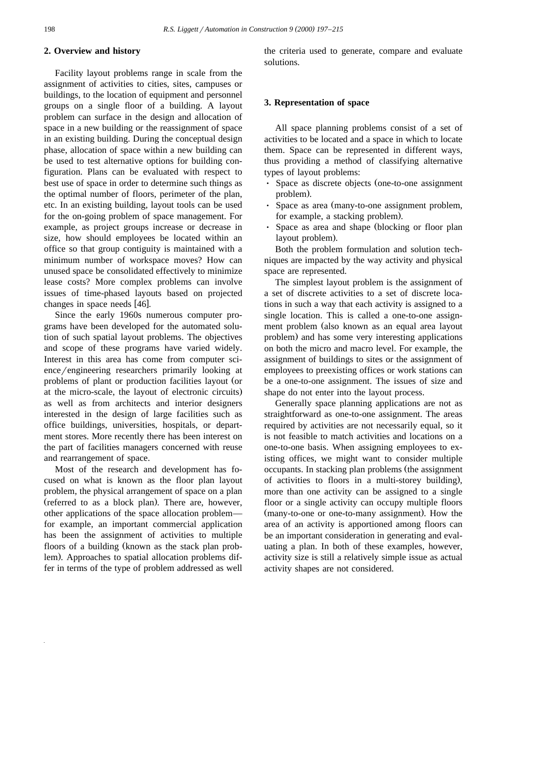# **2. Overview and history**

Facility layout problems range in scale from the assignment of activities to cities, sites, campuses or buildings, to the location of equipment and personnel groups on a single floor of a building. A layout problem can surface in the design and allocation of space in a new building or the reassignment of space in an existing building. During the conceptual design phase, allocation of space within a new building can be used to test alternative options for building configuration. Plans can be evaluated with respect to best use of space in order to determine such things as the optimal number of floors, perimeter of the plan, etc. In an existing building, layout tools can be used for the on-going problem of space management. For example, as project groups increase or decrease in size, how should employees be located within an office so that group contiguity is maintained with a minimum number of workspace moves? How can unused space be consolidated effectively to minimize lease costs? More complex problems can involve issues of time-phased layouts based on projected changes in space needs [46].

Since the early 1960s numerous computer programs have been developed for the automated solution of such spatial layout problems. The objectives and scope of these programs have varied widely. Interest in this area has come from computer science/engineering researchers primarily looking at problems of plant or production facilities layout (or at the micro-scale, the layout of electronic circuits) as well as from architects and interior designers interested in the design of large facilities such as office buildings, universities, hospitals, or department stores. More recently there has been interest on the part of facilities managers concerned with reuse and rearrangement of space.

Most of the research and development has focused on what is known as the floor plan layout problem, the physical arrangement of space on a plan (referred to as a block plan). There are, however, other applications of the space allocation problem for example, an important commercial application has been the assignment of activities to multiple floors of a building (known as the stack plan problem). Approaches to spatial allocation problems differ in terms of the type of problem addressed as well the criteria used to generate, compare and evaluate solutions.

## **3. Representation of space**

All space planning problems consist of a set of activities to be located and a space in which to locate them. Space can be represented in different ways, thus providing a method of classifying alternative types of layout problems:

- Space as discrete objects (one-to-one assignment problem).
- Space as area (many-to-one assignment problem, for example, a stacking problem).
- Space as area and shape (blocking or floor plan layout problem).

Both the problem formulation and solution techniques are impacted by the way activity and physical space are represented.

The simplest layout problem is the assignment of a set of discrete activities to a set of discrete locations in such a way that each activity is assigned to a single location. This is called a one-to-one assignment problem (also known as an equal area layout problem) and has some very interesting applications on both the micro and macro level. For example, the assignment of buildings to sites or the assignment of employees to preexisting offices or work stations can be a one-to-one assignment. The issues of size and shape do not enter into the layout process.

Generally space planning applications are not as straightforward as one-to-one assignment. The areas required by activities are not necessarily equal, so it is not feasible to match activities and locations on a one-to-one basis. When assigning employees to existing offices, we might want to consider multiple occupants. In stacking plan problems (the assignment of activities to floors in a multi-storey building), more than one activity can be assigned to a single floor or a single activity can occupy multiple floors (many-to-one or one-to-many assignment). How the area of an activity is apportioned among floors can be an important consideration in generating and evaluating a plan. In both of these examples, however, activity size is still a relatively simple issue as actual activity shapes are not considered.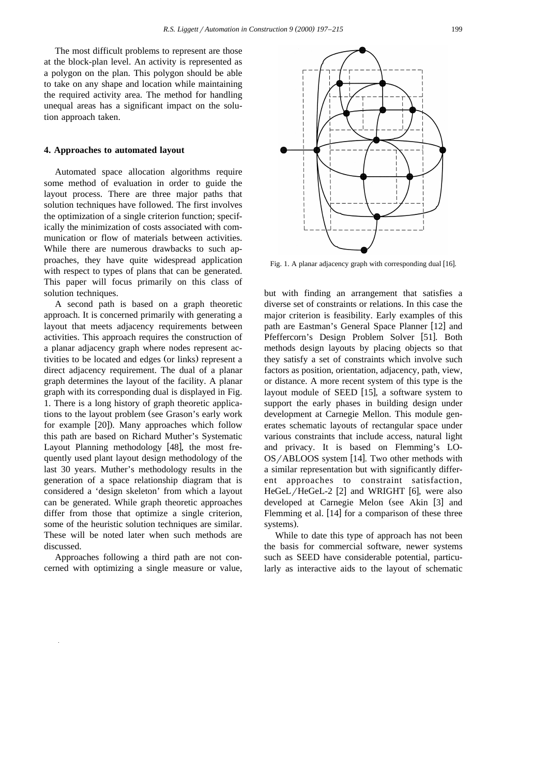The most difficult problems to represent are those at the block-plan level. An activity is represented as a polygon on the plan. This polygon should be able to take on any shape and location while maintaining the required activity area. The method for handling unequal areas has a significant impact on the solution approach taken.

#### **4. Approaches to automated layout**

Automated space allocation algorithms require some method of evaluation in order to guide the layout process. There are three major paths that solution techniques have followed. The first involves the optimization of a single criterion function; specifically the minimization of costs associated with communication or flow of materials between activities. While there are numerous drawbacks to such approaches, they have quite widespread application with respect to types of plans that can be generated. This paper will focus primarily on this class of solution techniques.

A second path is based on a graph theoretic approach. It is concerned primarily with generating a layout that meets adjacency requirements between activities. This approach requires the construction of a planar adjacency graph where nodes represent activities to be located and edges (or links) represent a direct adjacency requirement. The dual of a planar graph determines the layout of the facility. A planar graph with its corresponding dual is displayed in Fig. 1. There is a long history of graph theoretic applications to the layout problem (see Grason's early work for example  $[20]$ . Many approaches which follow this path are based on Richard Muther's Systematic Layout Planning methodology  $[48]$ , the most frequently used plant layout design methodology of the last 30 years. Muther's methodology results in the generation of a space relationship diagram that is considered a 'design skeleton' from which a layout can be generated. While graph theoretic approaches differ from those that optimize a single criterion, some of the heuristic solution techniques are similar. These will be noted later when such methods are discussed.

Approaches following a third path are not concerned with optimizing a single measure or value,



Fig. 1. A planar adjacency graph with corresponding dual  $[16]$ .

but with finding an arrangement that satisfies a diverse set of constraints or relations. In this case the major criterion is feasibility. Early examples of this path are Eastman's General Space Planner [12] and Pfeffercorn's Design Problem Solver [51]. Both methods design layouts by placing objects so that they satisfy a set of constraints which involve such factors as position, orientation, adjacency, path, view, or distance. A more recent system of this type is the layout module of SEED  $[15]$ , a software system to support the early phases in building design under development at Carnegie Mellon. This module generates schematic layouts of rectangular space under various constraints that include access, natural light and privacy. It is based on Flemming's LO- $OS/ABLOOS$  system [14]. Two other methods with a similar representation but with significantly different approaches to constraint satisfaction,  $HeGeL/HeGeL-2$  [2] and WRIGHT [6], were also developed at Carnegie Melon (see Akin [3] and Flemming et al.  $[14]$  for a comparison of these three systems).

While to date this type of approach has not been the basis for commercial software, newer systems such as SEED have considerable potential, particularly as interactive aids to the layout of schematic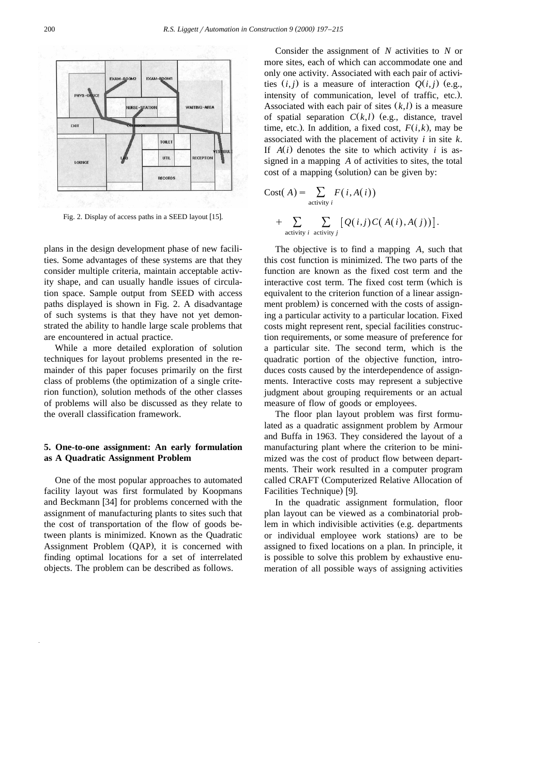

Fig. 2. Display of access paths in a SEED layout [15].

plans in the design development phase of new facilities. Some advantages of these systems are that they consider multiple criteria, maintain acceptable activity shape, and can usually handle issues of circulation space. Sample output from SEED with access paths displayed is shown in Fig. 2. A disadvantage of such systems is that they have not yet demonstrated the ability to handle large scale problems that are encountered in actual practice.

While a more detailed exploration of solution techniques for layout problems presented in the remainder of this paper focuses primarily on the first class of problems (the optimization of a single criterion function), solution methods of the other classes of problems will also be discussed as they relate to the overall classification framework.

# **5. One-to-one assignment: An early formulation as A Quadratic Assignment Problem**

One of the most popular approaches to automated facility layout was first formulated by Koopmans and Beckmann  $[34]$  for problems concerned with the assignment of manufacturing plants to sites such that the cost of transportation of the flow of goods between plants is minimized. Known as the Quadratic Assignment Problem (QAP), it is concerned with finding optimal locations for a set of interrelated objects. The problem can be described as follows.

Consider the assignment of *N* activities to *N* or more sites, each of which can accommodate one and only one activity. Associated with each pair of activities  $(i, j)$  is a measure of interaction  $Q(i, j)$  (e.g., intensity of communication, level of traffic, etc.). Associated with each pair of sites  $(k, l)$  is a measure of spatial separation  $C(k,l)$  (e.g., distance, travel time, etc.). In addition, a fixed cost,  $F(i,k)$ , may be associated with the placement of activity *i* in site *k*. If  $A(i)$  denotes the site to which activity *i* is assigned in a mapping *A* of activities to sites, the total cost of a mapping (solution) can be given by:

$$
Cost(A) = \sum_{\text{activity } i} F(i, A(i))
$$
  
+ 
$$
\sum_{\text{activity } i} \sum_{\text{activity } j} [Q(i,j)C(A(i), A(j))].
$$

The objective is to find a mapping *A*, such that this cost function is minimized. The two parts of the function are known as the fixed cost term and the interactive cost term. The fixed cost term (which is equivalent to the criterion function of a linear assignment problem) is concerned with the costs of assigning a particular activity to a particular location. Fixed costs might represent rent, special facilities construction requirements, or some measure of preference for a particular site. The second term, which is the quadratic portion of the objective function, introduces costs caused by the interdependence of assignments. Interactive costs may represent a subjective judgment about grouping requirements or an actual measure of flow of goods or employees.

The floor plan layout problem was first formulated as a quadratic assignment problem by Armour and Buffa in 1963. They considered the layout of a manufacturing plant where the criterion to be minimized was the cost of product flow between departments. Their work resulted in a computer program called CRAFT (Computerized Relative Allocation of Facilities Technique) [9].

In the quadratic assignment formulation, floor plan layout can be viewed as a combinatorial problem in which indivisible activities (e.g. departments or individual employee work stations) are to be. assigned to fixed locations on a plan. In principle, it is possible to solve this problem by exhaustive enumeration of all possible ways of assigning activities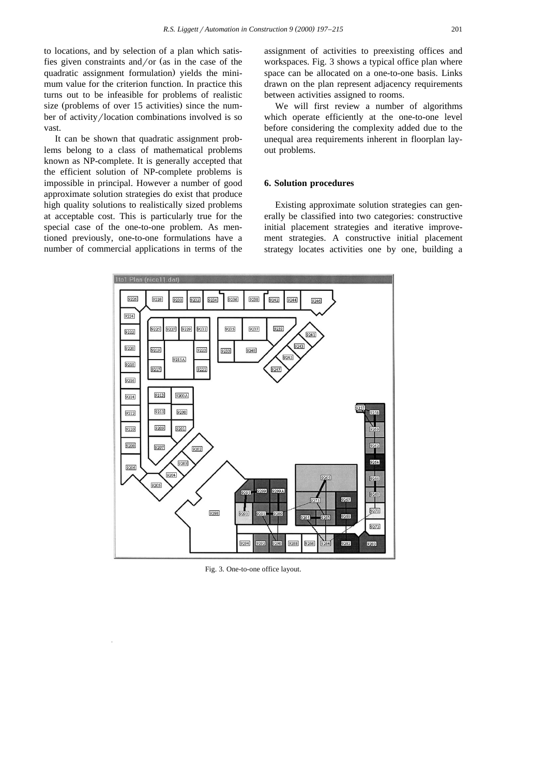to locations, and by selection of a plan which satisfies given constraints and/or (as in the case of the quadratic assignment formulation) yields the minimum value for the criterion function. In practice this turns out to be infeasible for problems of realistic size (problems of over 15 activities) since the number of activity/location combinations involved is so vast.

It can be shown that quadratic assignment problems belong to a class of mathematical problems known as NP-complete. It is generally accepted that the efficient solution of NP-complete problems is impossible in principal. However a number of good approximate solution strategies do exist that produce high quality solutions to realistically sized problems at acceptable cost. This is particularly true for the special case of the one-to-one problem. As mentioned previously, one-to-one formulations have a number of commercial applications in terms of the

assignment of activities to preexisting offices and workspaces. Fig. 3 shows a typical office plan where space can be allocated on a one-to-one basis. Links drawn on the plan represent adjacency requirements between activities assigned to rooms.

We will first review a number of algorithms which operate efficiently at the one-to-one level before considering the complexity added due to the unequal area requirements inherent in floorplan layout problems.

### **6. Solution procedures**

Existing approximate solution strategies can generally be classified into two categories: constructive initial placement strategies and iterative improvement strategies. A constructive initial placement strategy locates activities one by one, building a



Fig. 3. One-to-one office layout.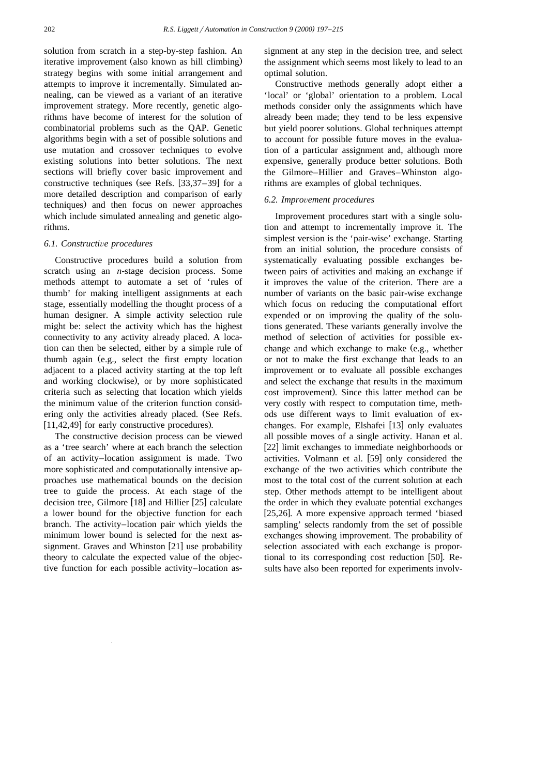solution from scratch in a step-by-step fashion. An iterative improvement (also known as hill climbing) strategy begins with some initial arrangement and attempts to improve it incrementally. Simulated annealing, can be viewed as a variant of an iterative improvement strategy. More recently, genetic algorithms have become of interest for the solution of combinatorial problems such as the QAP. Genetic algorithms begin with a set of possible solutions and use mutation and crossover techniques to evolve existing solutions into better solutions. The next sections will briefly cover basic improvement and constructive techniques (see Refs.  $[33,37-39]$  for a more detailed description and comparison of early techniques) and then focus on newer approaches which include simulated annealing and genetic algorithms.

## *6.1. Constructi*Õ*e procedures*

Constructive procedures build a solution from scratch using an *n*-stage decision process. Some methods attempt to automate a set of 'rules of thumb' for making intelligent assignments at each stage, essentially modelling the thought process of a human designer. A simple activity selection rule might be: select the activity which has the highest connectivity to any activity already placed. A location can then be selected, either by a simple rule of thumb again (e.g., select the first empty location adjacent to a placed activity starting at the top left and working clockwise), or by more sophisticated criteria such as selecting that location which yields the minimum value of the criterion function considering only the activities already placed. (See Refs.  $\left[11,42,49\right]$  for early constructive procedures).

The constructive decision process can be viewed as a 'tree search' where at each branch the selection of an activity–location assignment is made. Two more sophisticated and computationally intensive approaches use mathematical bounds on the decision tree to guide the process. At each stage of the decision tree, Gilmore [18] and Hillier [25] calculate a lower bound for the objective function for each branch. The activity–location pair which yields the minimum lower bound is selected for the next assignment. Graves and Whinston  $[21]$  use probability theory to calculate the expected value of the objective function for each possible activity–location as-

signment at any step in the decision tree, and select the assignment which seems most likely to lead to an optimal solution.

Constructive methods generally adopt either a 'local' or 'global' orientation to a problem. Local methods consider only the assignments which have already been made; they tend to be less expensive but yield poorer solutions. Global techniques attempt to account for possible future moves in the evaluation of a particular assignment and, although more expensive, generally produce better solutions. Both the Gilmore–Hillier and Graves–Whinston algorithms are examples of global techniques.

## *6.2. Impro*Õ*ement procedures*

Improvement procedures start with a single solution and attempt to incrementally improve it. The simplest version is the 'pair-wise' exchange. Starting from an initial solution, the procedure consists of systematically evaluating possible exchanges between pairs of activities and making an exchange if it improves the value of the criterion. There are a number of variants on the basic pair-wise exchange which focus on reducing the computational effort expended or on improving the quality of the solutions generated. These variants generally involve the method of selection of activities for possible exchange and which exchange to make  $(e.g.,$  whether or not to make the first exchange that leads to an improvement or to evaluate all possible exchanges and select the exchange that results in the maximum cost improvement). Since this latter method can be very costly with respect to computation time, methods use different ways to limit evaluation of exchanges. For example, Elshafei [13] only evaluates all possible moves of a single activity. Hanan et al. [22] limit exchanges to immediate neighborhoods or activities. Volmann et al. [59] only considered the exchange of the two activities which contribute the most to the total cost of the current solution at each step. Other methods attempt to be intelligent about the order in which they evaluate potential exchanges [25,26]. A more expensive approach termed 'biased sampling' selects randomly from the set of possible exchanges showing improvement. The probability of selection associated with each exchange is proportional to its corresponding cost reduction [50]. Results have also been reported for experiments involv-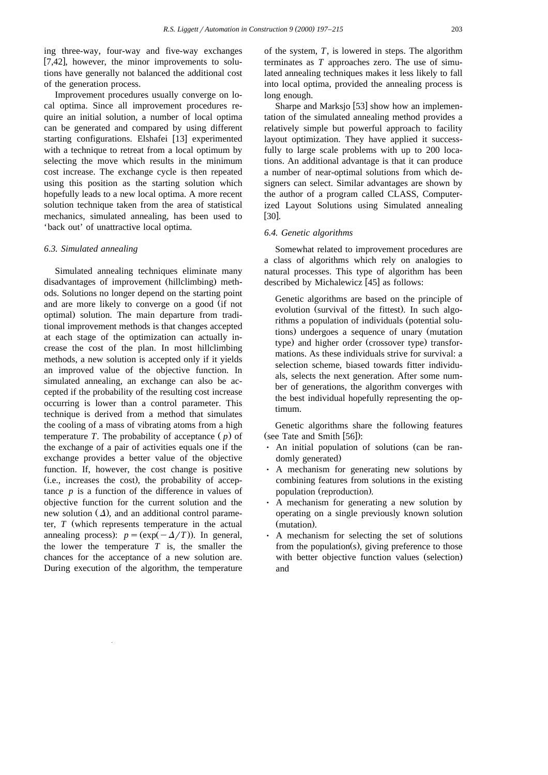ing three-way, four-way and five-way exchanges  $[7,42]$ , however, the minor improvements to solutions have generally not balanced the additional cost of the generation process.

Improvement procedures usually converge on local optima. Since all improvement procedures require an initial solution, a number of local optima can be generated and compared by using different starting configurations. Elshafei [13] experimented with a technique to retreat from a local optimum by selecting the move which results in the minimum cost increase. The exchange cycle is then repeated using this position as the starting solution which hopefully leads to a new local optima. A more recent solution technique taken from the area of statistical mechanics, simulated annealing, has been used to 'back out' of unattractive local optima.

## *6.3. Simulated annealing*

Simulated annealing techniques eliminate many disadvantages of improvement (hillclimbing) methods. Solutions no longer depend on the starting point and are more likely to converge on a good (if not optimal) solution. The main departure from traditional improvement methods is that changes accepted at each stage of the optimization can actually increase the cost of the plan. In most hillclimbing methods, a new solution is accepted only if it yields an improved value of the objective function. In simulated annealing, an exchange can also be accepted if the probability of the resulting cost increase occurring is lower than a control parameter. This technique is derived from a method that simulates the cooling of a mass of vibrating atoms from a high temperature *T*. The probability of acceptance  $\left(p\right)$  of the exchange of a pair of activities equals one if the exchange provides a better value of the objective function. If, however, the cost change is positive (i.e., increases the cost), the probability of acceptance *p* is a function of the difference in values of objective function for the current solution and the new solution  $(\Delta)$ , and an additional control parameter,  $T$  (which represents temperature in the actual annealing process):  $p = (exp(-\Delta/T))$ . In general, the lower the temperature  $T$  is, the smaller the chances for the acceptance of a new solution are. During execution of the algorithm, the temperature of the system, *T*, is lowered in steps. The algorithm terminates as *T* approaches zero. The use of simulated annealing techniques makes it less likely to fall into local optima, provided the annealing process is long enough.

Sharpe and Marksio [53] show how an implementation of the simulated annealing method provides a relatively simple but powerful approach to facility layout optimization. They have applied it successfully to large scale problems with up to 200 locations. An additional advantage is that it can produce a number of near-optimal solutions from which designers can select. Similar advantages are shown by the author of a program called CLASS, Computerized Layout Solutions using Simulated annealing  $[30]$ .

## *6.4. Genetic algorithms*

Somewhat related to improvement procedures are a class of algorithms which rely on analogies to natural processes. This type of algorithm has been described by Michalewicz [45] as follows:

Genetic algorithms are based on the principle of evolution (survival of the fittest). In such algorithms a population of individuals (potential solutions) undergoes a sequence of unary (mutation type) and higher order (crossover type) transformations. As these individuals strive for survival: a selection scheme, biased towards fitter individuals, selects the next generation. After some number of generations, the algorithm converges with the best individual hopefully representing the optimum.

Genetic algorithms share the following features (see Tate and Smith  $[56]$ ):

- $\cdot$  An initial population of solutions (can be randomly generated)
- $\cdot$  A mechanism for generating new solutions by combining features from solutions in the existing population (reproduction).
- $\cdot$  A mechanism for generating a new solution by operating on a single previously known solution (mutation).
- $\cdot$  A mechanism for selecting the set of solutions from the population(s), giving preference to those with better objective function values (selection) and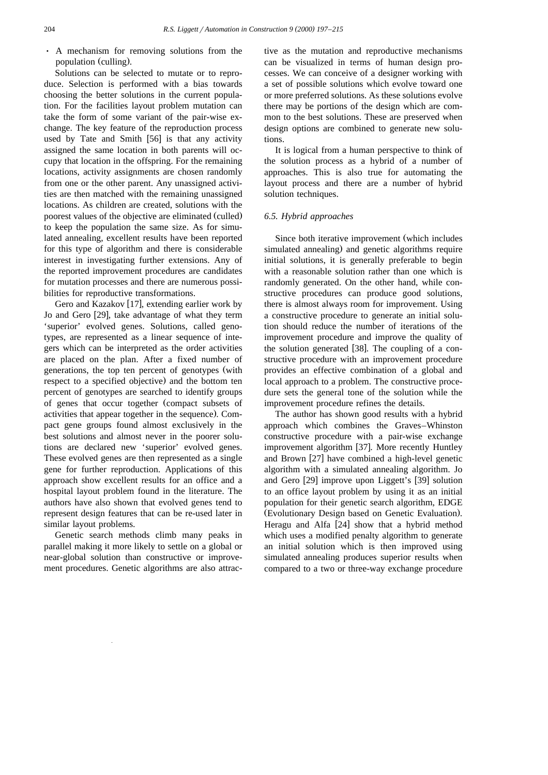A mechanism for removing solutions from the population (culling).

Solutions can be selected to mutate or to reproduce. Selection is performed with a bias towards choosing the better solutions in the current population. For the facilities layout problem mutation can take the form of some variant of the pair-wise exchange. The key feature of the reproduction process used by Tate and Smith  $[56]$  is that any activity assigned the same location in both parents will occupy that location in the offspring. For the remaining locations, activity assignments are chosen randomly from one or the other parent. Any unassigned activities are then matched with the remaining unassigned locations. As children are created, solutions with the poorest values of the objective are eliminated (culled) to keep the population the same size. As for simulated annealing, excellent results have been reported for this type of algorithm and there is considerable interest in investigating further extensions. Any of the reported improvement procedures are candidates for mutation processes and there are numerous possibilities for reproductive transformations.

Gero and Kazakov [17], extending earlier work by Jo and Gero [29], take advantage of what they term 'superior' evolved genes. Solutions, called genotypes, are represented as a linear sequence of integers which can be interpreted as the order activities are placed on the plan. After a fixed number of generations, the top ten percent of genotypes (with respect to a specified objective) and the bottom ten percent of genotypes are searched to identify groups of genes that occur together (compact subsets of activities that appear together in the sequence). Compact gene groups found almost exclusively in the best solutions and almost never in the poorer solutions are declared new 'superior' evolved genes. These evolved genes are then represented as a single gene for further reproduction. Applications of this approach show excellent results for an office and a hospital layout problem found in the literature. The authors have also shown that evolved genes tend to represent design features that can be re-used later in similar layout problems.

Genetic search methods climb many peaks in parallel making it more likely to settle on a global or near-global solution than constructive or improvement procedures. Genetic algorithms are also attractive as the mutation and reproductive mechanisms can be visualized in terms of human design processes. We can conceive of a designer working with a set of possible solutions which evolve toward one or more preferred solutions. As these solutions evolve there may be portions of the design which are common to the best solutions. These are preserved when design options are combined to generate new solutions.

It is logical from a human perspective to think of the solution process as a hybrid of a number of approaches. This is also true for automating the layout process and there are a number of hybrid solution techniques.

## *6.5. Hybrid approaches*

Since both iterative improvement (which includes simulated annealing) and genetic algorithms require initial solutions, it is generally preferable to begin with a reasonable solution rather than one which is randomly generated. On the other hand, while constructive procedures can produce good solutions, there is almost always room for improvement. Using a constructive procedure to generate an initial solution should reduce the number of iterations of the improvement procedure and improve the quality of the solution generated  $[38]$ . The coupling of a constructive procedure with an improvement procedure provides an effective combination of a global and local approach to a problem. The constructive procedure sets the general tone of the solution while the improvement procedure refines the details.

The author has shown good results with a hybrid approach which combines the Graves–Whinston constructive procedure with a pair-wise exchange improvement algorithm [37]. More recently Huntley and Brown  $[27]$  have combined a high-level genetic algorithm with a simulated annealing algorithm. Jo and Gero [29] improve upon Liggett's [39] solution to an office layout problem by using it as an initial population for their genetic search algorithm, EDGE (Evolutionary Design based on Genetic Evaluation). Heragu and Alfa  $[24]$  show that a hybrid method which uses a modified penalty algorithm to generate an initial solution which is then improved using simulated annealing produces superior results when compared to a two or three-way exchange procedure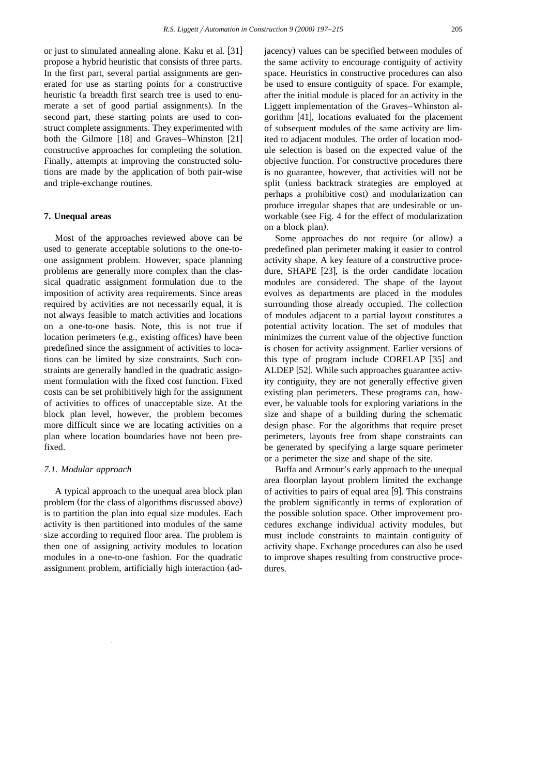or just to simulated annealing alone. Kaku et al. [31] propose a hybrid heuristic that consists of three parts. In the first part, several partial assignments are generated for use as starting points for a constructive heuristic (a breadth first search tree is used to enumerate a set of good partial assignments). In the second part, these starting points are used to construct complete assignments. They experimented with both the Gilmore  $[18]$  and Graves–Whinston  $[21]$ constructive approaches for completing the solution. Finally, attempts at improving the constructed solutions are made by the application of both pair-wise and triple-exchange routines.

### **7. Unequal areas**

Most of the approaches reviewed above can be used to generate acceptable solutions to the one-toone assignment problem. However, space planning problems are generally more complex than the classical quadratic assignment formulation due to the imposition of activity area requirements. Since areas required by activities are not necessarily equal, it is not always feasible to match activities and locations on a one-to-one basis. Note, this is not true if location perimeters (e.g., existing offices) have been predefined since the assignment of activities to locations can be limited by size constraints. Such constraints are generally handled in the quadratic assignment formulation with the fixed cost function. Fixed costs can be set prohibitively high for the assignment of activities to offices of unacceptable size. At the block plan level, however, the problem becomes more difficult since we are locating activities on a plan where location boundaries have not been prefixed.

## *7.1. Modular approach*

A typical approach to the unequal area block plan problem (for the class of algorithms discussed above) is to partition the plan into equal size modules. Each activity is then partitioned into modules of the same size according to required floor area. The problem is then one of assigning activity modules to location modules in a one-to-one fashion. For the quadratic assignment problem, artificially high interaction (adjacency) values can be specified between modules of the same activity to encourage contiguity of activity space. Heuristics in constructive procedures can also be used to ensure contiguity of space. For example, after the initial module is placed for an activity in the Liggett implementation of the Graves–Whinston algorithm  $[41]$ , locations evaluated for the placement of subsequent modules of the same activity are limited to adjacent modules. The order of location module selection is based on the expected value of the objective function. For constructive procedures there is no guarantee, however, that activities will not be split (unless backtrack strategies are employed at perhaps a prohibitive cost) and modularization can produce irregular shapes that are undesirable or unworkable (see Fig. 4 for the effect of modularization on a block plan).

Some approaches do not require (or allow) a predefined plan perimeter making it easier to control activity shape. A key feature of a constructive procedure, SHAPE  $[23]$ , is the order candidate location modules are considered. The shape of the layout evolves as departments are placed in the modules surrounding those already occupied. The collection of modules adjacent to a partial layout constitutes a potential activity location. The set of modules that minimizes the current value of the objective function is chosen for activity assignment. Earlier versions of this type of program include CORELAP [35] and ALDEP [52]. While such approaches guarantee activity contiguity, they are not generally effective given existing plan perimeters. These programs can, however, be valuable tools for exploring variations in the size and shape of a building during the schematic design phase. For the algorithms that require preset perimeters, layouts free from shape constraints can be generated by specifying a large square perimeter or a perimeter the size and shape of the site.

Buffa and Armour's early approach to the unequal area floorplan layout problem limited the exchange of activities to pairs of equal area [9]. This constrains the problem significantly in terms of exploration of the possible solution space. Other improvement procedures exchange individual activity modules, but must include constraints to maintain contiguity of activity shape. Exchange procedures can also be used to improve shapes resulting from constructive procedures.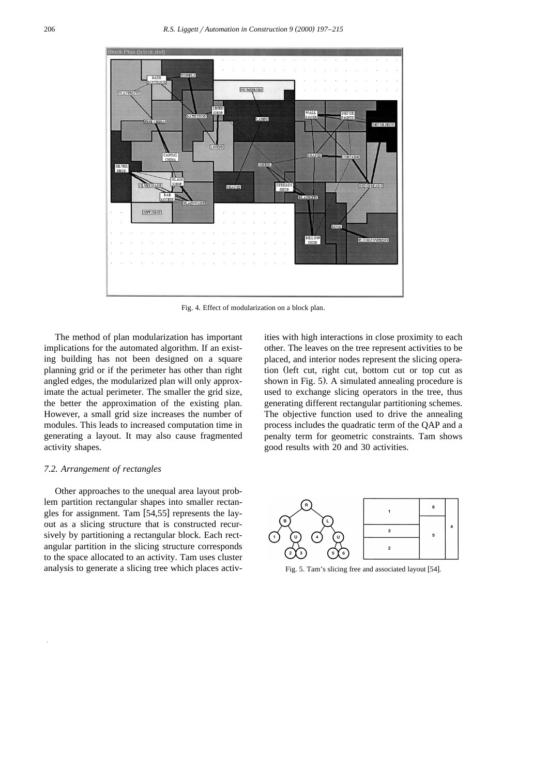

Fig. 4. Effect of modularization on a block plan.

The method of plan modularization has important implications for the automated algorithm. If an existing building has not been designed on a square planning grid or if the perimeter has other than right angled edges, the modularized plan will only approximate the actual perimeter. The smaller the grid size, the better the approximation of the existing plan. However, a small grid size increases the number of modules. This leads to increased computation time in generating a layout. It may also cause fragmented activity shapes.

#### *7.2. Arrangement of rectangles*

Other approaches to the unequal area layout problem partition rectangular shapes into smaller rectangles for assignment. Tam [54,55] represents the layout as a slicing structure that is constructed recursively by partitioning a rectangular block. Each rectangular partition in the slicing structure corresponds to the space allocated to an activity. Tam uses cluster analysis to generate a slicing tree which places activ-

ities with high interactions in close proximity to each other. The leaves on the tree represent activities to be placed, and interior nodes represent the slicing operation (left cut, right cut, bottom cut or top cut as shown in Fig. 5). A simulated annealing procedure is used to exchange slicing operators in the tree, thus generating different rectangular partitioning schemes. The objective function used to drive the annealing process includes the quadratic term of the QAP and a penalty term for geometric constraints. Tam shows good results with 20 and 30 activities.



Fig. 5. Tam's slicing free and associated layout [54].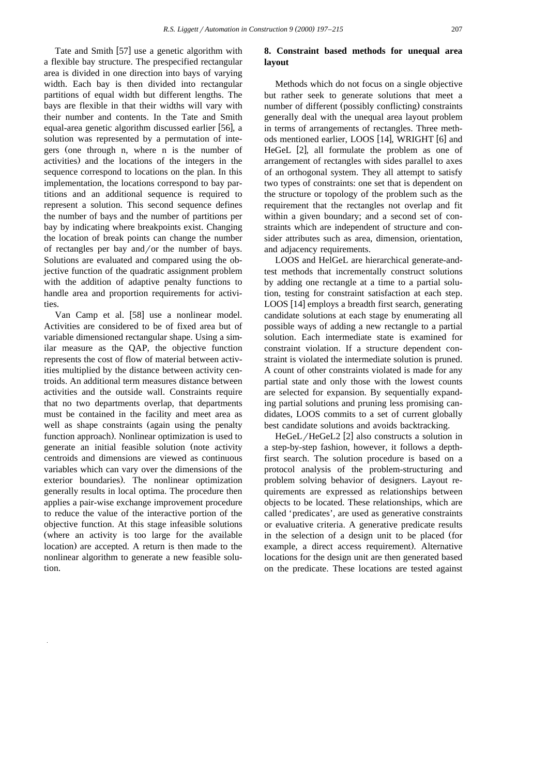Tate and Smith  $[57]$  use a genetic algorithm with a flexible bay structure. The prespecified rectangular area is divided in one direction into bays of varying width. Each bay is then divided into rectangular partitions of equal width but different lengths. The bays are flexible in that their widths will vary with their number and contents. In the Tate and Smith equal-area genetic algorithm discussed earlier [56], a solution was represented by a permutation of integers (one through n, where n is the number of activities) and the locations of the integers in the sequence correspond to locations on the plan. In this implementation, the locations correspond to bay partitions and an additional sequence is required to represent a solution. This second sequence defines the number of bays and the number of partitions per bay by indicating where breakpoints exist. Changing the location of break points can change the number of rectangles per bay and/or the number of bays. Solutions are evaluated and compared using the objective function of the quadratic assignment problem with the addition of adaptive penalty functions to handle area and proportion requirements for activities.

Van Camp et al. [58] use a nonlinear model. Activities are considered to be of fixed area but of variable dimensioned rectangular shape. Using a similar measure as the QAP, the objective function represents the cost of flow of material between activities multiplied by the distance between activity centroids. An additional term measures distance between activities and the outside wall. Constraints require that no two departments overlap, that departments must be contained in the facility and meet area as well as shape constraints (again using the penalty function approach). Nonlinear optimization is used to generate an initial feasible solution (note activity centroids and dimensions are viewed as continuous variables which can vary over the dimensions of the exterior boundaries). The nonlinear optimization generally results in local optima. The procedure then applies a pair-wise exchange improvement procedure to reduce the value of the interactive portion of the objective function. At this stage infeasible solutions (where an activity is too large for the available location) are accepted. A return is then made to the nonlinear algorithm to generate a new feasible solution.

# **8. Constraint based methods for unequal area layout**

Methods which do not focus on a single objective but rather seek to generate solutions that meet a number of different (possibly conflicting) constraints generally deal with the unequal area layout problem in terms of arrangements of rectangles. Three methods mentioned earlier, LOOS [14], WRIGHT [6] and HeGeL  $[2]$ , all formulate the problem as one of arrangement of rectangles with sides parallel to axes of an orthogonal system. They all attempt to satisfy two types of constraints: one set that is dependent on the structure or topology of the problem such as the requirement that the rectangles not overlap and fit within a given boundary; and a second set of constraints which are independent of structure and consider attributes such as area, dimension, orientation, and adjacency requirements.

LOOS and HelGeL are hierarchical generate-andtest methods that incrementally construct solutions by adding one rectangle at a time to a partial solution, testing for constraint satisfaction at each step.  $LOOS$  [14] employs a breadth first search, generating candidate solutions at each stage by enumerating all possible ways of adding a new rectangle to a partial solution. Each intermediate state is examined for constraint violation. If a structure dependent constraint is violated the intermediate solution is pruned. A count of other constraints violated is made for any partial state and only those with the lowest counts are selected for expansion. By sequentially expanding partial solutions and pruning less promising candidates, LOOS commits to a set of current globally best candidate solutions and avoids backtracking.

 $HeGeL/HeGeL2$  [2] also constructs a solution in a step-by-step fashion, however, it follows a depthfirst search. The solution procedure is based on a protocol analysis of the problem-structuring and problem solving behavior of designers. Layout requirements are expressed as relationships between objects to be located. These relationships, which are called 'predicates', are used as generative constraints or evaluative criteria. A generative predicate results in the selection of a design unit to be placed (for example, a direct access requirement). Alternative locations for the design unit are then generated based on the predicate. These locations are tested against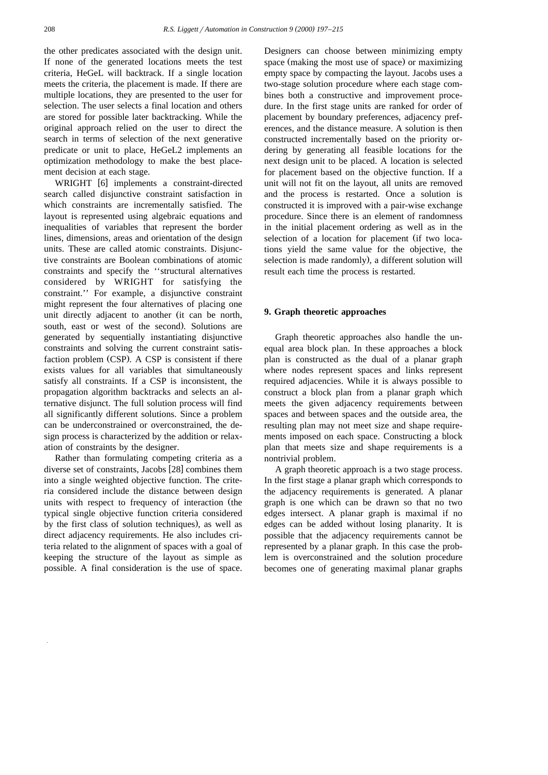the other predicates associated with the design unit. If none of the generated locations meets the test criteria, HeGeL will backtrack. If a single location meets the criteria, the placement is made. If there are multiple locations, they are presented to the user for selection. The user selects a final location and others are stored for possible later backtracking. While the original approach relied on the user to direct the search in terms of selection of the next generative predicate or unit to place, HeGeL2 implements an optimization methodology to make the best placement decision at each stage.

WRIGHT [6] implements a constraint-directed search called disjunctive constraint satisfaction in which constraints are incrementally satisfied. The layout is represented using algebraic equations and inequalities of variables that represent the border lines, dimensions, areas and orientation of the design units. These are called atomic constraints. Disjunctive constraints are Boolean combinations of atomic constraints and specify the ''structural alternatives considered by WRIGHT for satisfying the constraint.'' For example, a disjunctive constraint might represent the four alternatives of placing one unit directly adjacent to another (it can be north, south, east or west of the second). Solutions are generated by sequentially instantiating disjunctive constraints and solving the current constraint satisfaction problem (CSP). A CSP is consistent if there exists values for all variables that simultaneously satisfy all constraints. If a CSP is inconsistent, the propagation algorithm backtracks and selects an alternative disjunct. The full solution process will find all significantly different solutions. Since a problem can be underconstrained or overconstrained, the design process is characterized by the addition or relaxation of constraints by the designer.

Rather than formulating competing criteria as a diverse set of constraints, Jacobs [28] combines them into a single weighted objective function. The criteria considered include the distance between design units with respect to frequency of interaction (the typical single objective function criteria considered by the first class of solution techniques), as well as direct adjacency requirements. He also includes criteria related to the alignment of spaces with a goal of keeping the structure of the layout as simple as possible. A final consideration is the use of space. Designers can choose between minimizing empty space (making the most use of space) or maximizing empty space by compacting the layout. Jacobs uses a two-stage solution procedure where each stage combines both a constructive and improvement procedure. In the first stage units are ranked for order of placement by boundary preferences, adjacency preferences, and the distance measure. A solution is then constructed incrementally based on the priority ordering by generating all feasible locations for the next design unit to be placed. A location is selected for placement based on the objective function. If a unit will not fit on the layout, all units are removed and the process is restarted. Once a solution is constructed it is improved with a pair-wise exchange procedure. Since there is an element of randomness in the initial placement ordering as well as in the selection of a location for placement (if two locations yield the same value for the objective, the selection is made randomly), a different solution will result each time the process is restarted.

## **9. Graph theoretic approaches**

Graph theoretic approaches also handle the unequal area block plan. In these approaches a block plan is constructed as the dual of a planar graph where nodes represent spaces and links represent required adjacencies. While it is always possible to construct a block plan from a planar graph which meets the given adjacency requirements between spaces and between spaces and the outside area, the resulting plan may not meet size and shape requirements imposed on each space. Constructing a block plan that meets size and shape requirements is a nontrivial problem.

A graph theoretic approach is a two stage process. In the first stage a planar graph which corresponds to the adjacency requirements is generated. A planar graph is one which can be drawn so that no two edges intersect. A planar graph is maximal if no edges can be added without losing planarity. It is possible that the adjacency requirements cannot be represented by a planar graph. In this case the problem is overconstrained and the solution procedure becomes one of generating maximal planar graphs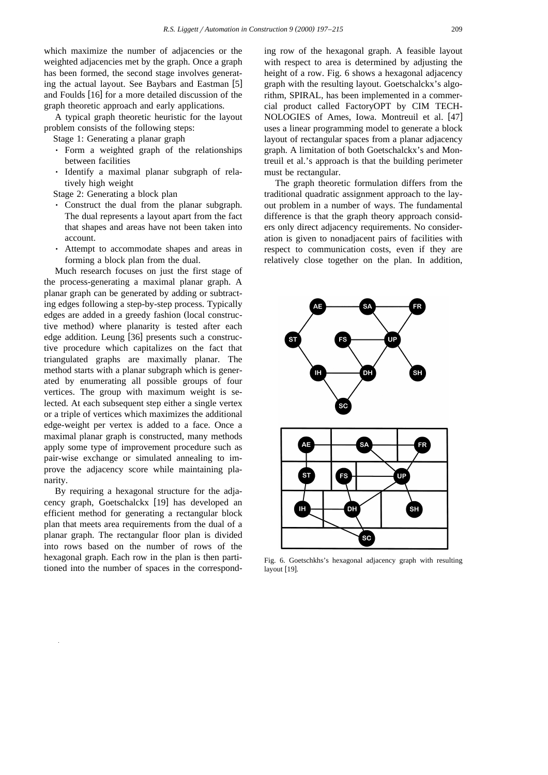which maximize the number of adjacencies or the weighted adjacencies met by the graph. Once a graph has been formed, the second stage involves generating the actual layout. See Baybars and Eastman [5] and Foulds  $[16]$  for a more detailed discussion of the graph theoretic approach and early applications.

A typical graph theoretic heuristic for the layout problem consists of the following steps:

Stage 1: Generating a planar graph

- $\cdot$  Form a weighted graph of the relationships between facilities
- Ø Identify a maximal planar subgraph of relatively high weight

Stage 2: Generating a block plan

- Ø Construct the dual from the planar subgraph. The dual represents a layout apart from the fact that shapes and areas have not been taken into account.
- Ø Attempt to accommodate shapes and areas in forming a block plan from the dual.

Much research focuses on just the first stage of the process-generating a maximal planar graph. A planar graph can be generated by adding or subtracting edges following a step-by-step process. Typically edges are added in a greedy fashion (local constructive method) where planarity is tested after each edge addition. Leung [36] presents such a constructive procedure which capitalizes on the fact that triangulated graphs are maximally planar. The method starts with a planar subgraph which is generated by enumerating all possible groups of four vertices. The group with maximum weight is selected. At each subsequent step either a single vertex or a triple of vertices which maximizes the additional edge-weight per vertex is added to a face. Once a maximal planar graph is constructed, many methods apply some type of improvement procedure such as pair-wise exchange or simulated annealing to improve the adjacency score while maintaining planarity.

By requiring a hexagonal structure for the adjacency graph, Goetschalckx [19] has developed an efficient method for generating a rectangular block plan that meets area requirements from the dual of a planar graph. The rectangular floor plan is divided into rows based on the number of rows of the hexagonal graph. Each row in the plan is then partitioned into the number of spaces in the correspond-

ing row of the hexagonal graph. A feasible layout with respect to area is determined by adjusting the height of a row. Fig. 6 shows a hexagonal adjacency graph with the resulting layout. Goetschalckx's algorithm, SPIRAL, has been implemented in a commercial product called FactoryOPT by CIM TECH-NOLOGIES of Ames, Iowa. Montreuil et al. [47] uses a linear programming model to generate a block layout of rectangular spaces from a planar adjacency graph. A limitation of both Goetschalckx's and Montreuil et al.'s approach is that the building perimeter must be rectangular.

The graph theoretic formulation differs from the traditional quadratic assignment approach to the layout problem in a number of ways. The fundamental difference is that the graph theory approach considers only direct adjacency requirements. No consideration is given to nonadjacent pairs of facilities with respect to communication costs, even if they are relatively close together on the plan. In addition,



Fig. 6. Goetschkhs's hexagonal adjacency graph with resulting layout  $[19]$ .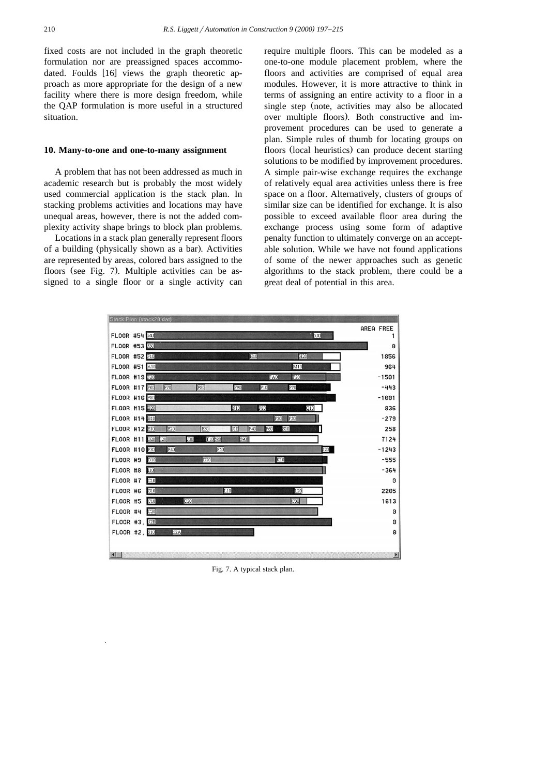fixed costs are not included in the graph theoretic formulation nor are preassigned spaces accommodated. Foulds  $[16]$  views the graph theoretic approach as more appropriate for the design of a new facility where there is more design freedom, while the QAP formulation is more useful in a structured situation.

#### **10. Many-to-one and one-to-many assignment**

A problem that has not been addressed as much in academic research but is probably the most widely used commercial application is the stack plan. In stacking problems activities and locations may have unequal areas, however, there is not the added complexity activity shape brings to block plan problems.

Locations in a stack plan generally represent floors of a building (physically shown as a bar). Activities are represented by areas, colored bars assigned to the floors (see Fig. 7). Multiple activities can be assigned to a single floor or a single activity can

require multiple floors. This can be modeled as a one-to-one module placement problem, where the floors and activities are comprised of equal area modules. However, it is more attractive to think in terms of assigning an entire activity to a floor in a single step (note, activities may also be allocated over multiple floors). Both constructive and improvement procedures can be used to generate a plan. Simple rules of thumb for locating groups on floors (local heuristics) can produce decent starting solutions to be modified by improvement procedures. A simple pair-wise exchange requires the exchange of relatively equal area activities unless there is free space on a floor. Alternatively, clusters of groups of similar size can be identified for exchange. It is also possible to exceed available floor area during the exchange process using some form of adaptive penalty function to ultimately converge on an acceptable solution. While we have not found applications of some of the newer approaches such as genetic algorithms to the stack problem, there could be a great deal of potential in this area.



Fig. 7. A typical stack plan.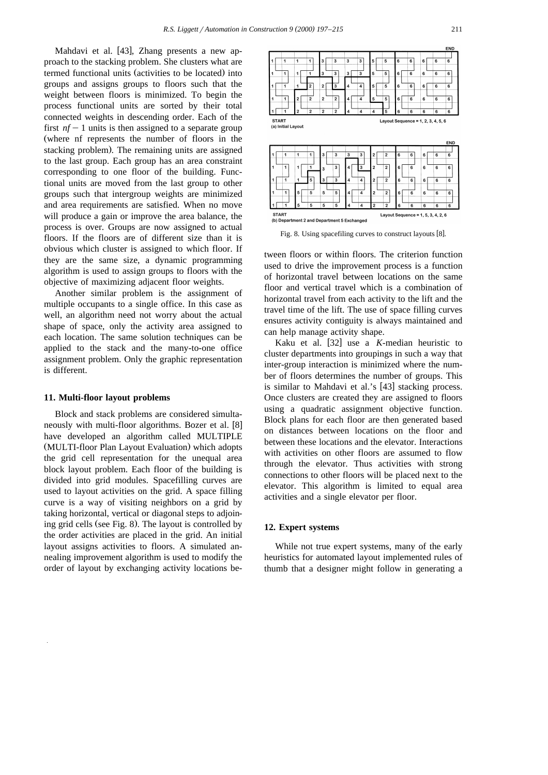Mahdavi et al. [43], Zhang presents a new approach to the stacking problem. She clusters what are termed functional units (activities to be located) into groups and assigns groups to floors such that the weight between floors is minimized. To begin the process functional units are sorted by their total connected weights in descending order. Each of the first  $nf-1$  units is then assigned to a separate group (where nf represents the number of floors in the stacking problem). The remaining units are assigned to the last group. Each group has an area constraint corresponding to one floor of the building. Functional units are moved from the last group to other groups such that intergroup weights are minimized and area requirements are satisfied. When no move will produce a gain or improve the area balance, the process is over. Groups are now assigned to actual floors. If the floors are of different size than it is obvious which cluster is assigned to which floor. If they are the same size, a dynamic programming algorithm is used to assign groups to floors with the objective of maximizing adjacent floor weights.

Another similar problem is the assignment of multiple occupants to a single office. In this case as well, an algorithm need not worry about the actual shape of space, only the activity area assigned to each location. The same solution techniques can be applied to the stack and the many-to-one office assignment problem. Only the graphic representation is different.

#### **11. Multi-floor layout problems**

Block and stack problems are considered simultaneously with multi-floor algorithms. Bozer et al. [8] have developed an algorithm called MULTIPLE (MULTI-floor Plan Layout Evaluation) which adopts the grid cell representation for the unequal area block layout problem. Each floor of the building is divided into grid modules. Spacefilling curves are used to layout activities on the grid. A space filling curve is a way of visiting neighbors on a grid by taking horizontal, vertical or diagonal steps to adjoining grid cells (see Fig. 8). The layout is controlled by the order activities are placed in the grid. An initial layout assigns activities to floors. A simulated annealing improvement algorithm is used to modify the order of layout by exchanging activity locations be-



Fig. 8. Using spacefiling curves to construct layouts  $[8]$ .

tween floors or within floors. The criterion function used to drive the improvement process is a function of horizontal travel between locations on the same floor and vertical travel which is a combination of horizontal travel from each activity to the lift and the travel time of the lift. The use of space filling curves ensures activity contiguity is always maintained and can help manage activity shape.

Kaku et al. [32] use a K-median heuristic to cluster departments into groupings in such a way that inter-group interaction is minimized where the number of floors determines the number of groups. This is similar to Mahdavi et al.'s  $[43]$  stacking process. Once clusters are created they are assigned to floors using a quadratic assignment objective function. Block plans for each floor are then generated based on distances between locations on the floor and between these locations and the elevator. Interactions with activities on other floors are assumed to flow through the elevator. Thus activities with strong connections to other floors will be placed next to the elevator. This algorithm is limited to equal area activities and a single elevator per floor.

## **12. Expert systems**

While not true expert systems, many of the early heuristics for automated layout implemented rules of thumb that a designer might follow in generating a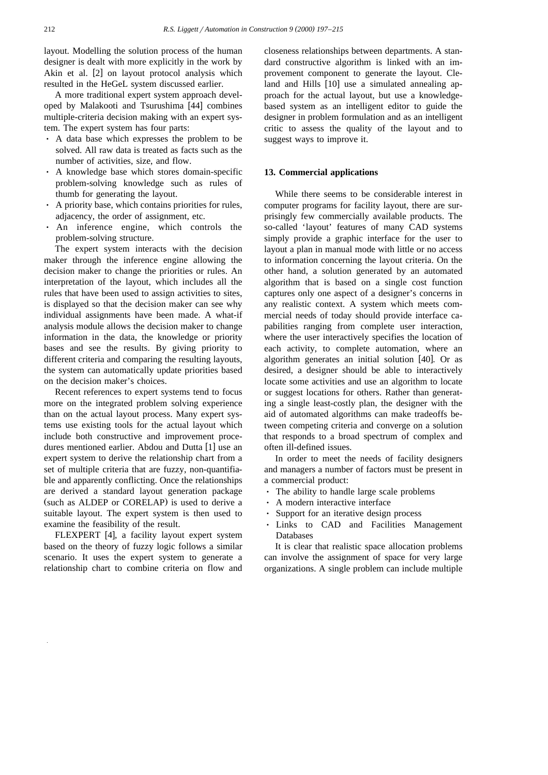layout. Modelling the solution process of the human designer is dealt with more explicitly in the work by Akin et al. [2] on layout protocol analysis which resulted in the HeGeL system discussed earlier.

A more traditional expert system approach developed by Malakooti and Tsurushima [44] combines multiple-criteria decision making with an expert system. The expert system has four parts:

- A data base which expresses the problem to be solved. All raw data is treated as facts such as the number of activities, size, and flow.
- A knowledge base which stores domain-specific problem-solving knowledge such as rules of thumb for generating the layout.
- A priority base, which contains priorities for rules, adjacency, the order of assignment, etc.
- $\cdot$  An inference engine, which controls the problem-solving structure.

The expert system interacts with the decision maker through the inference engine allowing the decision maker to change the priorities or rules. An interpretation of the layout, which includes all the rules that have been used to assign activities to sites, is displayed so that the decision maker can see why individual assignments have been made. A what-if analysis module allows the decision maker to change information in the data, the knowledge or priority bases and see the results. By giving priority to different criteria and comparing the resulting layouts, the system can automatically update priorities based on the decision maker's choices.

Recent references to expert systems tend to focus more on the integrated problem solving experience than on the actual layout process. Many expert systems use existing tools for the actual layout which include both constructive and improvement procedures mentioned earlier. Abdou and Dutta [1] use an expert system to derive the relationship chart from a set of multiple criteria that are fuzzy, non-quantifiable and apparently conflicting. Once the relationships are derived a standard layout generation package (such as ALDEP or CORELAP) is used to derive a suitable layout. The expert system is then used to examine the feasibility of the result.

FLEXPERT  $[4]$ , a facility layout expert system based on the theory of fuzzy logic follows a similar scenario. It uses the expert system to generate a relationship chart to combine criteria on flow and closeness relationships between departments. A standard constructive algorithm is linked with an improvement component to generate the layout. Cleland and Hills [10] use a simulated annealing approach for the actual layout, but use a knowledgebased system as an intelligent editor to guide the designer in problem formulation and as an intelligent critic to assess the quality of the layout and to suggest ways to improve it.

## **13. Commercial applications**

While there seems to be considerable interest in computer programs for facility layout, there are surprisingly few commercially available products. The so-called 'layout' features of many CAD systems simply provide a graphic interface for the user to layout a plan in manual mode with little or no access to information concerning the layout criteria. On the other hand, a solution generated by an automated algorithm that is based on a single cost function captures only one aspect of a designer's concerns in any realistic context. A system which meets commercial needs of today should provide interface capabilities ranging from complete user interaction, where the user interactively specifies the location of each activity, to complete automation, where an algorithm generates an initial solution  $[40]$ . Or as desired, a designer should be able to interactively locate some activities and use an algorithm to locate or suggest locations for others. Rather than generating a single least-costly plan, the designer with the aid of automated algorithms can make tradeoffs between competing criteria and converge on a solution that responds to a broad spectrum of complex and often ill-defined issues.

In order to meet the needs of facility designers and managers a number of factors must be present in a commercial product:

- The ability to handle large scale problems
- Ø A modern interactive interface
- Support for an iterative design process
- Ø Links to CAD and Facilities Management Databases

It is clear that realistic space allocation problems can involve the assignment of space for very large organizations. A single problem can include multiple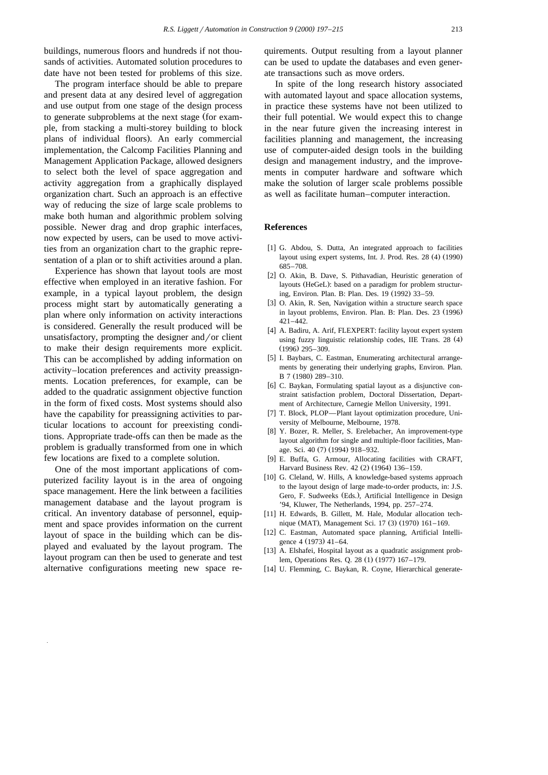buildings, numerous floors and hundreds if not thousands of activities. Automated solution procedures to date have not been tested for problems of this size.

The program interface should be able to prepare and present data at any desired level of aggregation and use output from one stage of the design process to generate subproblems at the next stage (for example, from stacking a multi-storey building to block plans of individual floors). An early commercial implementation, the Calcomp Facilities Planning and Management Application Package, allowed designers to select both the level of space aggregation and activity aggregation from a graphically displayed organization chart. Such an approach is an effective way of reducing the size of large scale problems to make both human and algorithmic problem solving possible. Newer drag and drop graphic interfaces, now expected by users, can be used to move activities from an organization chart to the graphic representation of a plan or to shift activities around a plan.

Experience has shown that layout tools are most effective when employed in an iterative fashion. For example, in a typical layout problem, the design process might start by automatically generating a plan where only information on activity interactions is considered. Generally the result produced will be unsatisfactory, prompting the designer and/or client to make their design requirements more explicit. This can be accomplished by adding information on activity–location preferences and activity preassignments. Location preferences, for example, can be added to the quadratic assignment objective function in the form of fixed costs. Most systems should also have the capability for preassigning activities to particular locations to account for preexisting conditions. Appropriate trade-offs can then be made as the problem is gradually transformed from one in which few locations are fixed to a complete solution.

One of the most important applications of computerized facility layout is in the area of ongoing space management. Here the link between a facilities management database and the layout program is critical. An inventory database of personnel, equipment and space provides information on the current layout of space in the building which can be displayed and evaluated by the layout program. The layout program can then be used to generate and test alternative configurations meeting new space requirements. Output resulting from a layout planner can be used to update the databases and even generate transactions such as move orders.

In spite of the long research history associated with automated layout and space allocation systems, in practice these systems have not been utilized to their full potential. We would expect this to change in the near future given the increasing interest in facilities planning and management, the increasing use of computer-aided design tools in the building design and management industry, and the improvements in computer hardware and software which make the solution of larger scale problems possible as well as facilitate human–computer interaction.

## **References**

- [1] G. Abdou, S. Dutta, An integrated approach to facilities layout using expert systems, Int. J. Prod. Res. 28 (4) (1990) 685–708.
- [2] O. Akin, B. Dave, S. Pithavadian, Heuristic generation of layouts (HeGeL): based on a paradigm for problem structuring, Environ. Plan. B: Plan. Des. 19 (1992) 33-59.
- [3] O. Akin, R. Sen, Navigation within a structure search space in layout problems, Environ. Plan. B: Plan. Des. 23 (1996) 421–442.
- [4] A. Badiru, A. Arif, FLEXPERT: facility layout expert system using fuzzy linguistic relationship codes, IIE Trans.  $28(4)$  $(1996)$  295–309.
- [5] I. Baybars, C. Eastman, Enumerating architectural arrangements by generating their underlying graphs, Environ. Plan. B 7 (1980) 289-310.
- [6] C. Baykan, Formulating spatial layout as a disjunctive constraint satisfaction problem, Doctoral Dissertation, Department of Architecture, Carnegie Mellon University, 1991.
- [7] T. Block, PLOP—Plant layout optimization procedure, University of Melbourne, Melbourne, 1978.
- [8] Y. Bozer, R. Meller, S. Erelebacher, An improvement-type layout algorithm for single and multiple-floor facilities, Manage. Sci. 40 (7) (1994) 918–932.
- [9] E. Buffa, G. Armour, Allocating facilities with CRAFT, Harvard Business Rev. 42 (2) (1964) 136-159.
- [10] G. Cleland, W. Hills, A knowledge-based systems approach to the layout design of large made-to-order products, in: J.S. Gero, F. Sudweeks (Eds.), Artificial Intelligence in Design '94, Kluwer, The Netherlands, 1994, pp. 257–274.
- [11] H. Edwards, B. Gillett, M. Hale, Modular allocation technique (MAT), Management Sci. 17 (3) (1970) 161–169.
- $[12]$ C. Eastman, Automated space planning, Artificial Intelligence 4  $(1973)$  41–64.
- [13] A. Elshafei, Hospital layout as a quadratic assignment problem, Operations Res. Q. 28 (1) (1977) 167-179.
- [14] U. Flemming, C. Baykan, R. Coyne, Hierarchical generate-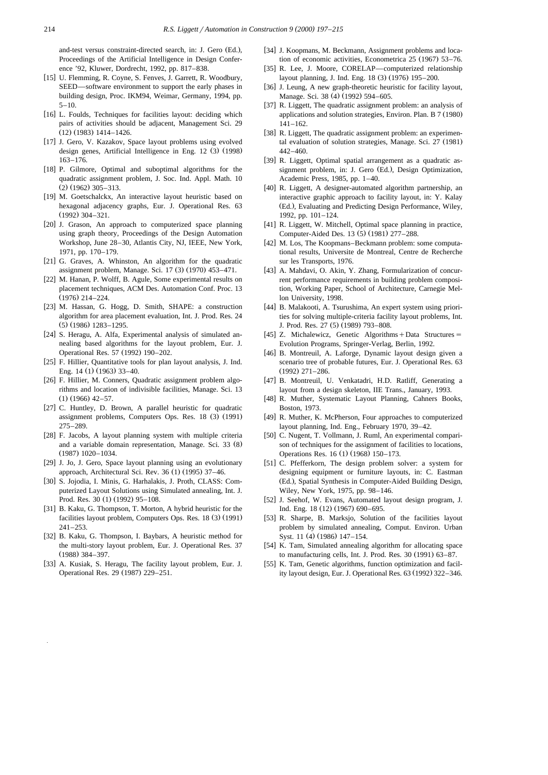and-test versus constraint-directed search, in: J. Gero (Ed.), Proceedings of the Artificial Intelligence in Design Conference '92, Kluwer, Dordrecht, 1992, pp. 817–838.

- [15] U. Flemming, R. Coyne, S. Fenves, J. Garrett, R. Woodbury, SEED—software environment to support the early phases in building design, Proc. IKM94, Weimar, Germany, 1994, pp. 5–10.
- [16] L. Foulds, Techniques for facilities layout: deciding which pairs of activities should be adjacent, Management Sci. 29  $(12)$   $(1983)$   $1414-1426$ .
- [17] J. Gero, V. Kazakov, Space layout problems using evolved design genes, Artificial Intelligence in Eng.  $12$   $(3)$   $(1998)$ 163–176.
- [18] P. Gilmore, Optimal and suboptimal algorithms for the quadratic assignment problem, J. Soc. Ind. Appl. Math. 10  $(2)$   $(1962)$   $305-313$ .
- [19] M. Goetschalckx, An interactive layout heuristic based on hexagonal adjacency graphs, Eur. J. Operational Res. 63  $(1992)$  304–321.
- [20] J. Grason, An approach to computerized space planning using graph theory, Proceedings of the Design Automation Workshop, June 28–30, Atlantis City, NJ, IEEE, New York, 1971, pp. 170–179.
- [21] G. Graves, A. Whinston, An algorithm for the quadratic assignment problem, Manage. Sci. 17 (3) (1970) 453-471.
- [22] M. Hanan, P. Wolff, B. Agule, Some experimental results on placement techniques, ACM Des. Automation Conf. Proc. 13  $(1976)$  214–224.
- [23] M. Hassan, G. Hogg, D. Smith, SHAPE: a construction algorithm for area placement evaluation, Int. J. Prod. Res. 24  $(5)$  (1986) 1283–1295.
- [24] S. Heragu, A. Alfa, Experimental analysis of simulated annealing based algorithms for the layout problem, Eur. J. Operational Res. 57 (1992) 190–202.
- [25] F. Hillier, Quantitative tools for plan layout analysis, J. Ind. Eng.  $14$  (1) (1963) 33-40.
- [26] F. Hillier, M. Conners, Quadratic assignment problem algorithms and location of indivisible facilities, Manage. Sci. 13  $(1)$  (1966) 42–57.
- [27] C. Huntley, D. Brown, A parallel heuristic for quadratic assignment problems, Computers Ops. Res. 18 (3) (1991) 275–289.
- [28] F. Jacobs, A layout planning system with multiple criteria and a variable domain representation, Manage. Sci. 33 (8)  $(1987)$   $1020 - 1034$ .
- [29] J. Jo, J. Gero, Space layout planning using an evolutionary approach, Architectural Sci. Rev. 36 (1) (1995) 37-46.
- [30] S. Jojodia, I. Minis, G. Harhalakis, J. Proth, CLASS: Computerized Layout Solutions using Simulated annealing, Int. J. Prod. Res. 30 (1) (1992) 95-108.
- [31] B. Kaku, G. Thompson, T. Morton, A hybrid heuristic for the facilities layout problem, Computers Ops. Res. 18 (3) (1991) 241–253.
- [32] B. Kaku, G. Thompson, I. Baybars, A heuristic method for the multi-story layout problem, Eur. J. Operational Res. 37  $(1988)$  384–397.
- [33] A. Kusiak, S. Heragu, The facility layout problem, Eur. J. Operational Res. 29 (1987) 229-251.
- [34] J. Koopmans, M. Beckmann, Assignment problems and location of economic activities, Econometrica  $25$  (1967) 53–76.
- [35] R. Lee, J. Moore, CORELAP—computerized relationship layout planning, J. Ind. Eng. 18 (3) (1976) 195–200.
- [36] J. Leung, A new graph-theoretic heuristic for facility layout, Manage. Sci. 38 (4) (1992) 594–605.
- [37] R. Liggett, The quadratic assignment problem: an analysis of applications and solution strategies, Environ. Plan. B 7 (1980) 141–162.
- [38] R. Liggett, The quadratic assignment problem: an experimental evaluation of solution strategies, Manage. Sci. 27 (1981) 442–460.
- [39] R. Liggett, Optimal spatial arrangement as a quadratic assignment problem, in: J. Gero (Ed.), Design Optimization, Academic Press, 1985, pp. 1–40.
- [40] R. Liggett, A designer-automated algorithm partnership, an interactive graphic approach to facility layout, in: Y. Kalay (Ed.), Evaluating and Predicting Design Performance, Wiley, 1992, pp. 101–124.
- [41] R. Liggett, W. Mitchell, Optimal space planning in practice, Computer-Aided Des. 13 (5) (1981) 277–288.
- [42] M. Los, The Koopmans–Beckmann problem: some computational results, Universite de Montreal, Centre de Recherche sur les Transports, 1976.
- [43] A. Mahdavi, O. Akin, Y. Zhang, Formularization of concurrent performance requirements in building problem composition, Working Paper, School of Architecture, Carnegie Mellon University, 1998.
- [44] B. Malakooti, A. Tsurushima, An expert system using priorities for solving multiple-criteria facility layout problems, Int. J. Prod. Res. 27 (5) (1989) 793–808.
- [45] Z. Michalewicz, Genetic Algorithms + Data Structures = Evolution Programs, Springer-Verlag, Berlin, 1992.
- [46] B. Montreuil, A. Laforge, Dynamic layout design given a scenario tree of probable futures, Eur. J. Operational Res. 63  $(1992)$  271–286.
- [47] B. Montreuil, U. Venkatadri, H.D. Ratliff, Generating a layout from a design skeleton, IIE Trans., January, 1993.
- [48] R. Muther, Systematic Layout Planning, Cahners Books, Boston, 1973.
- [49] R. Muther, K. McPherson, Four approaches to computerized layout planning, Ind. Eng., February 1970, 39–42.
- [50] C. Nugent, T. Vollmann, J. Ruml, An experimental comparison of techniques for the assignment of facilities to locations, Operations Res. 16 (1) (1968) 150-173.
- [51] C. Pfefferkorn, The design problem solver: a system for designing equipment or furniture layouts, in: C. Eastman (Ed.), Spatial Synthesis in Computer-Aided Building Design, Wiley, New York, 1975, pp. 98–146.
- [52] J. Seehof, W. Evans, Automated layout design program, J. Ind. Eng. 18 (12) (1967) 690–695.
- [53] R. Sharpe, B. Marksjo, Solution of the facilities layout problem by simulated annealing, Comput. Environ. Urban Syst. 11 (4) (1986) 147–154.
- [54] K. Tam, Simulated annealing algorithm for allocating space to manufacturing cells, Int. J. Prod. Res.  $30(1991)$   $63-87$ .
- [55] K. Tam, Genetic algorithms, function optimization and facility layout design, Eur. J. Operational Res. 63 (1992) 322–346.